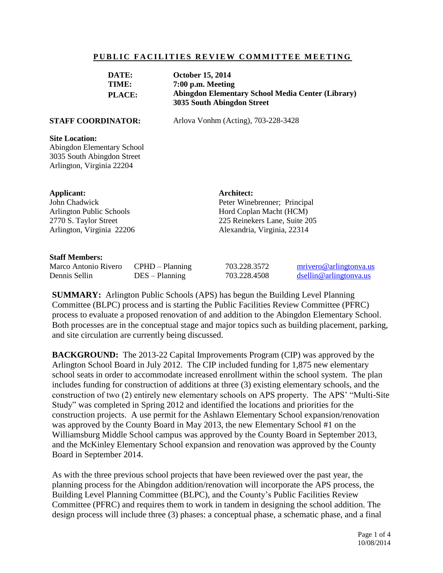## **PUBLIC FACILITIES REVIEW COMMITTEE MEETING**

| DATE:<br>TIME:<br>PLACE:                                                                                                    |                                       | <b>October 15, 2014</b><br>7:00 p.m. Meeting<br><b>Abingdon Elementary School Media Center (Library)</b><br>3035 South Abingdon Street |                                                                                                                                       |                                                  |  |
|-----------------------------------------------------------------------------------------------------------------------------|---------------------------------------|----------------------------------------------------------------------------------------------------------------------------------------|---------------------------------------------------------------------------------------------------------------------------------------|--------------------------------------------------|--|
| <b>STAFF COORDINATOR:</b>                                                                                                   |                                       | Arlova Vonhm (Acting), 703-228-3428                                                                                                    |                                                                                                                                       |                                                  |  |
| <b>Site Location:</b><br><b>Abingdon Elementary School</b><br>3035 South Abingdon Street<br>Arlington, Virginia 22204       |                                       |                                                                                                                                        |                                                                                                                                       |                                                  |  |
| <b>Applicant:</b><br>John Chadwick<br><b>Arlington Public Schools</b><br>2770 S. Taylor Street<br>Arlington, Virginia 22206 |                                       |                                                                                                                                        | Architect:<br>Peter Winebrenner; Principal<br>Hord Coplan Macht (HCM)<br>225 Reinekers Lane, Suite 205<br>Alexandria, Virginia, 22314 |                                                  |  |
| <b>Staff Members:</b><br>Marco Antonio Rivero<br>Dennis Sellin                                                              | $CPHD - Planning$<br>$DES - Planning$ |                                                                                                                                        | 703.228.3572<br>703.228.4508                                                                                                          | mrivero@arlingtonva.us<br>dsellin@arlingtonya.us |  |

**SUMMARY:** Arlington Public Schools (APS) has begun the Building Level Planning Committee (BLPC) process and is starting the Public Facilities Review Committee (PFRC) process to evaluate a proposed renovation of and addition to the Abingdon Elementary School. Both processes are in the conceptual stage and major topics such as building placement, parking, and site circulation are currently being discussed.

**BACKGROUND:** The 2013-22 Capital Improvements Program (CIP) was approved by the Arlington School Board in July 2012. The CIP included funding for 1,875 new elementary school seats in order to accommodate increased enrollment within the school system. The plan includes funding for construction of additions at three (3) existing elementary schools, and the construction of two (2) entirely new elementary schools on APS property. The APS' "Multi-Site Study" was completed in Spring 2012 and identified the locations and priorities for the construction projects. A use permit for the Ashlawn Elementary School expansion/renovation was approved by the County Board in May 2013, the new Elementary School #1 on the Williamsburg Middle School campus was approved by the County Board in September 2013, and the McKinley Elementary School expansion and renovation was approved by the County Board in September 2014.

As with the three previous school projects that have been reviewed over the past year, the planning process for the Abingdon addition/renovation will incorporate the APS process, the Building Level Planning Committee (BLPC), and the County's Public Facilities Review Committee (PFRC) and requires them to work in tandem in designing the school addition. The design process will include three (3) phases: a conceptual phase, a schematic phase, and a final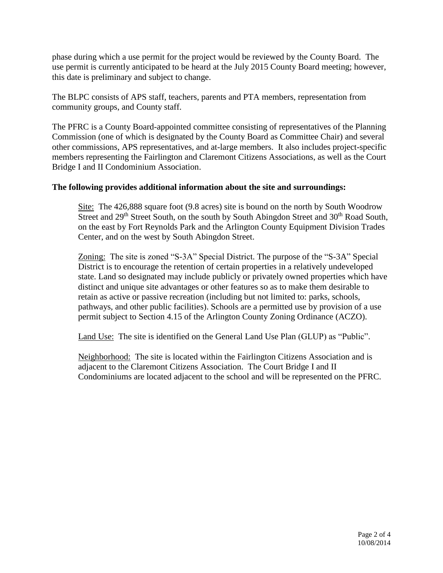phase during which a use permit for the project would be reviewed by the County Board. The use permit is currently anticipated to be heard at the July 2015 County Board meeting; however, this date is preliminary and subject to change.

The BLPC consists of APS staff, teachers, parents and PTA members, representation from community groups, and County staff.

The PFRC is a County Board-appointed committee consisting of representatives of the Planning Commission (one of which is designated by the County Board as Committee Chair) and several other commissions, APS representatives, and at-large members. It also includes project-specific members representing the Fairlington and Claremont Citizens Associations, as well as the Court Bridge I and II Condominium Association.

## **The following provides additional information about the site and surroundings:**

Site: The 426,888 square foot (9.8 acres) site is bound on the north by South Woodrow Street and 29<sup>th</sup> Street South, on the south by South Abingdon Street and 30<sup>th</sup> Road South, on the east by Fort Reynolds Park and the Arlington County Equipment Division Trades Center, and on the west by South Abingdon Street.

Zoning: The site is zoned "S-3A" Special District. The purpose of the "S-3A" Special District is to encourage the retention of certain properties in a relatively undeveloped state. Land so designated may include publicly or privately owned properties which have distinct and unique site advantages or other features so as to make them desirable to retain as active or passive recreation (including but not limited to: parks, schools, pathways, and other public facilities). Schools are a permitted use by provision of a use permit subject to Section 4.15 of the Arlington County Zoning Ordinance (ACZO).

Land Use: The site is identified on the General Land Use Plan (GLUP) as "Public".

Neighborhood: The site is located within the Fairlington Citizens Association and is adjacent to the Claremont Citizens Association. The Court Bridge I and II Condominiums are located adjacent to the school and will be represented on the PFRC.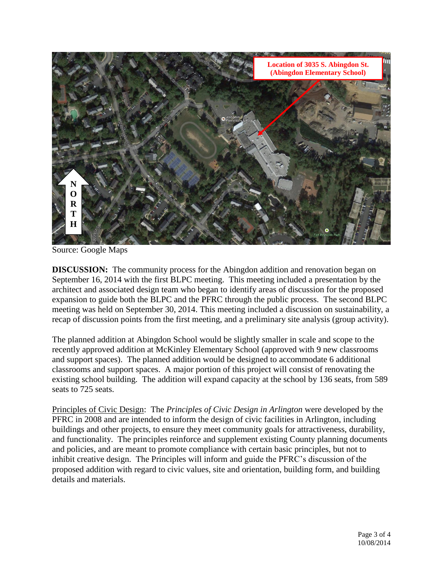

Source: Google Maps

**DISCUSSION:** The community process for the Abingdon addition and renovation began on September 16, 2014 with the first BLPC meeting. This meeting included a presentation by the architect and associated design team who began to identify areas of discussion for the proposed expansion to guide both the BLPC and the PFRC through the public process. The second BLPC meeting was held on September 30, 2014. This meeting included a discussion on sustainability, a recap of discussion points from the first meeting, and a preliminary site analysis (group activity).

The planned addition at Abingdon School would be slightly smaller in scale and scope to the recently approved addition at McKinley Elementary School (approved with 9 new classrooms and support spaces). The planned addition would be designed to accommodate 6 additional classrooms and support spaces. A major portion of this project will consist of renovating the existing school building. The addition will expand capacity at the school by 136 seats, from 589 seats to 725 seats.

Principles of Civic Design: The *Principles of Civic Design in Arlington* were developed by the PFRC in 2008 and are intended to inform the design of civic facilities in Arlington, including buildings and other projects, to ensure they meet community goals for attractiveness, durability, and functionality. The principles reinforce and supplement existing County planning documents and policies, and are meant to promote compliance with certain basic principles, but not to inhibit creative design. The Principles will inform and guide the PFRC's discussion of the proposed addition with regard to civic values, site and orientation, building form, and building details and materials.